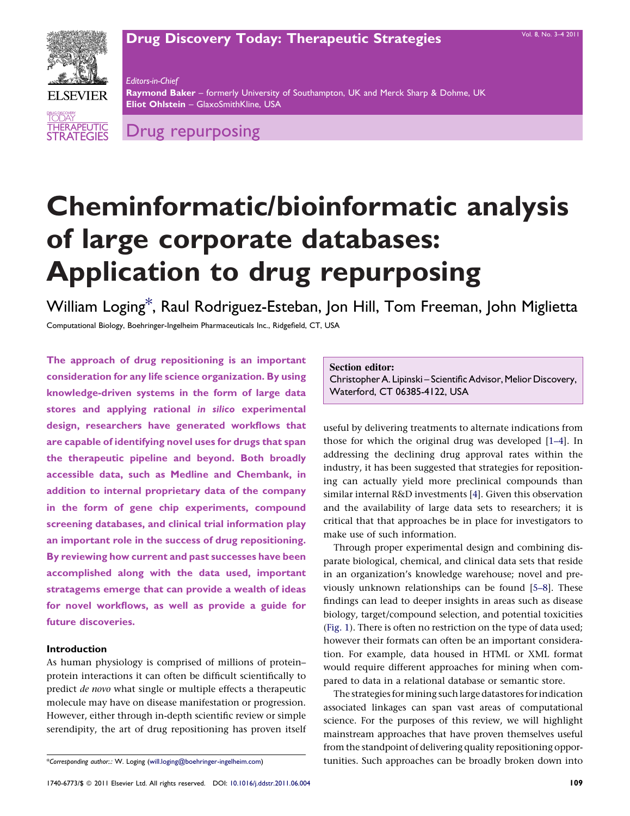# [Drug Discovery Today: Therapeutic Strategies](http://dx.doi.org/10.1016/j.ddstr.2011.06.004) Vol. 8, No. 3-4 2011



Editors-in-Chief Raymond Baker – formerly University of Southampton, UK and Merck Sharp & Dohme, UK Eliot Ohlstein – GlaxoSmithKline, USA

THERAPEUTIC STRATEGIES DRUG DISCOVERY

Drug repurposing

# Cheminformatic/bioinformatic analysis of large corporate databases: Application to drug repurposing

William Loging\*, Raul Rodriguez-Esteban, Jon Hill, Tom Freeman, John Miglietta Computational Biology, Boehringer-Ingelheim Pharmaceuticals Inc., Ridgefield, CT, USA

The approach of drug repositioning is an important consideration for any life science organization. By using knowledge-driven systems in the form of large data stores and applying rational in silico experimental design, researchers have generated workflows that are capable of identifying novel uses for drugs that span the therapeutic pipeline and beyond. Both broadly accessible data, such as Medline and Chembank, in addition to internal proprietary data of the company in the form of gene chip experiments, compound screening databases, and clinical trial information play an important role in the success of drug repositioning. By reviewing how current and past successes have been accomplished along with the data used, important stratagems emerge that can provide a wealth of ideas for novel workflows, as well as provide a guide for future discoveries.

#### Introduction

As human physiology is comprised of millions of protein– protein interactions it can often be difficult scientifically to predict de novo what single or multiple effects a therapeutic molecule may have on disease manifestation or progression. However, either through in-depth scientific review or simple serendipity, the art of drug repositioning has proven itself

#### Section editor:

Christopher A. Lipinski – Scientific Advisor, Melior Discovery, Waterford, CT 06385-4122, USA

useful by delivering treatments to alternate indications from those for which the original drug was developed [[1–4](#page-6-0)]. In addressing the declining drug approval rates within the industry, it has been suggested that strategies for repositioning can actually yield more preclinical compounds than similar internal R&D investments [\[4\]](#page-6-0). Given this observation and the availability of large data sets to researchers; it is critical that that approaches be in place for investigators to make use of such information.

Through proper experimental design and combining disparate biological, chemical, and clinical data sets that reside in an organization's knowledge warehouse; novel and previously unknown relationships can be found [\[5–8\]](#page-6-0). These findings can lead to deeper insights in areas such as disease biology, target/compound selection, and potential toxicities ([Fig. 1](#page-1-0)). There is often no restriction on the type of data used; however their formats can often be an important consideration. For example, data housed in HTML or XML format would require different approaches for mining when compared to data in a relational database or semantic store.

The strategies for mining such large datastores for indication associated linkages can span vast areas of computational science. For the purposes of this review, we will highlight mainstream approaches that have proven themselves useful from the standpoint of delivering quality repositioning opportunities. Such approaches can be broadly broken down into

<sup>\*</sup>Corresponding author:.: W. Loging ([will.loging@boehringer-ingelheim.com\)](mailto:will.loging@boehringer-ingelheim.com)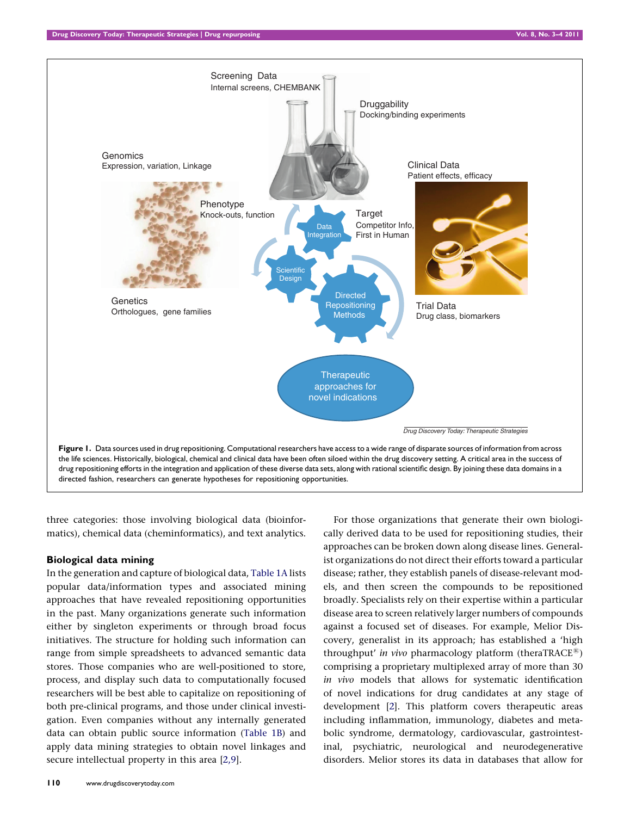<span id="page-1-0"></span>

the life sciences. Historically, biological, chemical and clinical data have been often siloed within the drug discovery setting. A critical area in the success of drug repositioning efforts in the integration and application of these diverse data sets, along with rational scientific design. By joining these data domains in a directed fashion, researchers can generate hypotheses for repositioning opportunities.

three categories: those involving biological data (bioinformatics), chemical data (cheminformatics), and text analytics.

### Biological data mining

In the generation and capture of biological data, [Table 1A](#page-2-0) lists popular data/information types and associated mining approaches that have revealed repositioning opportunities in the past. Many organizations generate such information either by singleton experiments or through broad focus initiatives. The structure for holding such information can range from simple spreadsheets to advanced semantic data stores. Those companies who are well-positioned to store, process, and display such data to computationally focused researchers will be best able to capitalize on repositioning of both pre-clinical programs, and those under clinical investigation. Even companies without any internally generated data can obtain public source information [\(Table 1B](#page-2-0)) and apply data mining strategies to obtain novel linkages and secure intellectual property in this area [[2,9\]](#page-6-0).

For those organizations that generate their own biologically derived data to be used for repositioning studies, their approaches can be broken down along disease lines. Generalist organizations do not direct their efforts toward a particular disease; rather, they establish panels of disease-relevant models, and then screen the compounds to be repositioned broadly. Specialists rely on their expertise within a particular disease area to screen relatively larger numbers of compounds against a focused set of diseases. For example, Melior Discovery, generalist in its approach; has established a 'high throughput' in vivo pharmacology platform (theraTRACE<sup>®</sup>) comprising a proprietary multiplexed array of more than 30 in vivo models that allows for systematic identification of novel indications for drug candidates at any stage of development [\[2\]](#page-6-0). This platform covers therapeutic areas including inflammation, immunology, diabetes and metabolic syndrome, dermatology, cardiovascular, gastrointestinal, psychiatric, neurological and neurodegenerative disorders. Melior stores its data in databases that allow for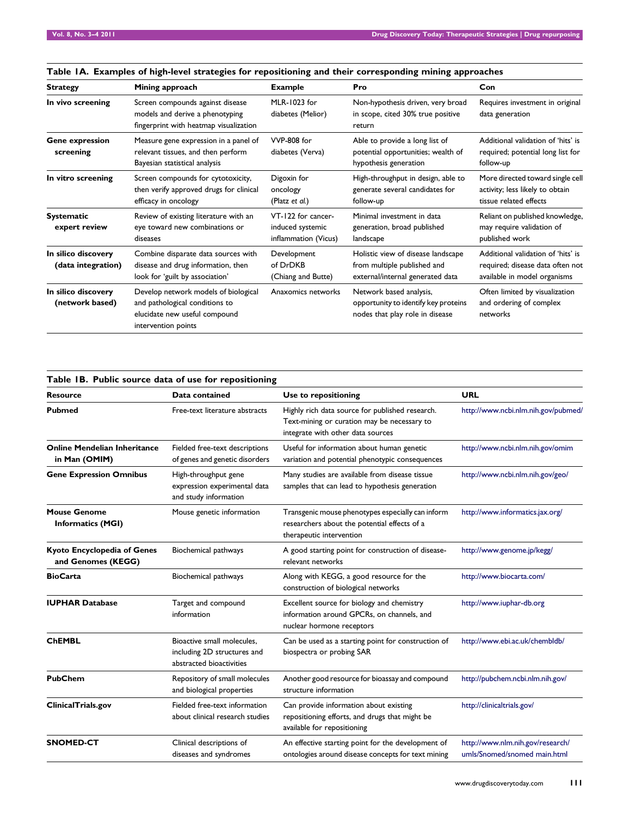| <b>Strategy</b>                           | Mining approach                                                                                                                | <b>Example</b>                                                 | Pro                                                                                                   | Con                                                                                                    |  |
|-------------------------------------------|--------------------------------------------------------------------------------------------------------------------------------|----------------------------------------------------------------|-------------------------------------------------------------------------------------------------------|--------------------------------------------------------------------------------------------------------|--|
| In vivo screening                         | Screen compounds against disease<br>models and derive a phenotyping<br>fingerprint with heatmap visualization                  | MLR-1023 for<br>diabetes (Melior)                              | Non-hypothesis driven, very broad<br>in scope, cited 30% true positive<br>return                      | Requires investment in original<br>data generation                                                     |  |
| <b>Gene expression</b><br>screening       | Measure gene expression in a panel of<br>relevant tissues, and then perform<br>Bayesian statistical analysis                   | <b>VVP-808 for</b><br>diabetes (Verva)                         | Able to provide a long list of<br>potential opportunities; wealth of<br>hypothesis generation         | Additional validation of 'hits' is<br>required; potential long list for<br>follow-up                   |  |
| In vitro screening                        | Screen compounds for cytotoxicity,<br>then verify approved drugs for clinical<br>efficacy in oncology                          | Digoxin for<br>oncology<br>(Platz et al.)                      | High-throughput in design, able to<br>generate several candidates for<br>follow-up                    | More directed toward single cell<br>activity; less likely to obtain<br>tissue related effects          |  |
| <b>Systematic</b><br>expert review        | Review of existing literature with an<br>eye toward new combinations or<br>diseases                                            | VT-122 for cancer-<br>induced systemic<br>inflammation (Vicus) | Minimal investment in data<br>generation, broad published<br>landscape                                | Reliant on published knowledge,<br>may require validation of<br>published work                         |  |
| In silico discovery<br>(data integration) | Combine disparate data sources with<br>disease and drug information, then<br>look for 'guilt by association'                   | Development<br>of DrDKB<br>(Chiang and Butte)                  | Holistic view of disease landscape<br>from multiple published and<br>external/internal generated data | Additional validation of 'hits' is<br>required; disease data often not<br>available in model organisms |  |
| In silico discovery<br>(network based)    | Develop network models of biological<br>and pathological conditions to<br>elucidate new useful compound<br>intervention points | Anaxomics networks                                             | Network based analysis,<br>opportunity to identify key proteins<br>nodes that play role in disease    | Often limited by visualization<br>and ordering of complex<br>networks                                  |  |

<span id="page-2-0"></span>

|  |  | Table IA. Examples of high-level strategies for repositioning and their corresponding mining approaches |  |  |
|--|--|---------------------------------------------------------------------------------------------------------|--|--|
|  |  |                                                                                                         |  |  |

|  |  |  |  |  |  | Table IB. Public source data of use for repositioning |
|--|--|--|--|--|--|-------------------------------------------------------|
|--|--|--|--|--|--|-------------------------------------------------------|

| abic TB. Tublic source data of ase for repositioning |                                                                                       |                                                                                                                                     |                                                                  |  |  |  |
|------------------------------------------------------|---------------------------------------------------------------------------------------|-------------------------------------------------------------------------------------------------------------------------------------|------------------------------------------------------------------|--|--|--|
| <b>Resource</b>                                      | Data contained                                                                        | Use to repositioning                                                                                                                | <b>URL</b>                                                       |  |  |  |
| Pubmed                                               | Free-text literature abstracts                                                        | Highly rich data source for published research.<br>Text-mining or curation may be necessary to<br>integrate with other data sources | http://www.ncbi.nlm.nih.gov/pubmed/                              |  |  |  |
| <b>Online Mendelian Inheritance</b><br>in Man (OMIM) | Fielded free-text descriptions<br>of genes and genetic disorders                      | Useful for information about human genetic<br>variation and potential phenotypic consequences                                       | http://www.ncbi.nlm.nih.gov/omim                                 |  |  |  |
| <b>Gene Expression Omnibus</b>                       | High-throughput gene<br>expression experimental data<br>and study information         | Many studies are available from disease tissue<br>samples that can lead to hypothesis generation                                    | http://www.ncbi.nlm.nih.gov/geo/                                 |  |  |  |
| <b>Mouse Genome</b><br><b>Informatics (MGI)</b>      | Mouse genetic information                                                             | Transgenic mouse phenotypes especially can inform<br>researchers about the potential effects of a<br>therapeutic intervention       | http://www.informatics.jax.org/                                  |  |  |  |
| Kyoto Encyclopedia of Genes<br>and Genomes (KEGG)    | Biochemical pathways                                                                  | A good starting point for construction of disease-<br>relevant networks                                                             | http://www.genome.jp/kegg/                                       |  |  |  |
| <b>BioCarta</b>                                      | Biochemical pathways                                                                  | Along with KEGG, a good resource for the<br>construction of biological networks                                                     | http://www.biocarta.com/                                         |  |  |  |
| <b>IUPHAR Database</b>                               | Target and compound<br>information                                                    | Excellent source for biology and chemistry<br>information around GPCRs, on channels, and<br>nuclear hormone receptors               | http://www.iuphar-db.org                                         |  |  |  |
| <b>ChEMBL</b>                                        | Bioactive small molecules,<br>including 2D structures and<br>abstracted bioactivities | Can be used as a starting point for construction of<br>biospectra or probing SAR                                                    | http://www.ebi.ac.uk/chembldb/                                   |  |  |  |
| <b>PubChem</b>                                       | Repository of small molecules<br>and biological properties                            | Another good resource for bioassay and compound<br>structure information                                                            | http://pubchem.ncbi.nlm.nih.gov/                                 |  |  |  |
| ClinicalTrials.gov                                   | Fielded free-text information<br>about clinical research studies                      | Can provide information about existing<br>repositioning efforts, and drugs that might be<br>available for repositioning             | http://clinicaltrials.gov/                                       |  |  |  |
| <b>SNOMED-CT</b>                                     | Clinical descriptions of<br>diseases and syndromes                                    | An effective starting point for the development of<br>ontologies around disease concepts for text mining                            | http://www.nlm.nih.gov/research/<br>umls/Snomed/snomed main.html |  |  |  |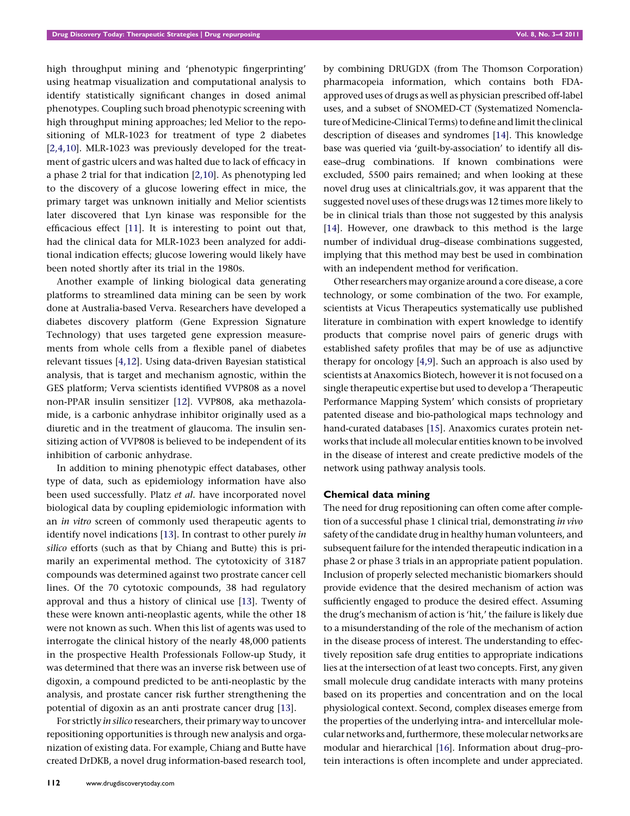high throughput mining and 'phenotypic fingerprinting' using heatmap visualization and computational analysis to identify statistically significant changes in dosed animal phenotypes. Coupling such broad phenotypic screening with high throughput mining approaches; led Melior to the repositioning of MLR-1023 for treatment of type 2 diabetes [\[2,4,10](#page-6-0)]. MLR-1023 was previously developed for the treatment of gastric ulcers and was halted due to lack of efficacy in a phase 2 trial for that indication [\[2,10](#page-6-0)]. As phenotyping led to the discovery of a glucose lowering effect in mice, the primary target was unknown initially and Melior scientists later discovered that Lyn kinase was responsible for the efficacious effect [[11\]](#page-7-0). It is interesting to point out that, had the clinical data for MLR-1023 been analyzed for additional indication effects; glucose lowering would likely have been noted shortly after its trial in the 1980s.

Another example of linking biological data generating platforms to streamlined data mining can be seen by work done at Australia-based Verva. Researchers have developed a diabetes discovery platform (Gene Expression Signature Technology) that uses targeted gene expression measurements from whole cells from a flexible panel of diabetes relevant tissues [\[4,12](#page-6-0)]. Using data-driven Bayesian statistical analysis, that is target and mechanism agnostic, within the GES platform; Verva scientists identified VVP808 as a novel non-PPAR insulin sensitizer [[12](#page-7-0)]. VVP808, aka methazolamide, is a carbonic anhydrase inhibitor originally used as a diuretic and in the treatment of glaucoma. The insulin sensitizing action of VVP808 is believed to be independent of its inhibition of carbonic anhydrase.

In addition to mining phenotypic effect databases, other type of data, such as epidemiology information have also been used successfully. Platz et al. have incorporated novel biological data by coupling epidemiologic information with an *in vitro* screen of commonly used therapeutic agents to identify novel indications [[13\]](#page-7-0). In contrast to other purely in silico efforts (such as that by Chiang and Butte) this is primarily an experimental method. The cytotoxicity of 3187 compounds was determined against two prostrate cancer cell lines. Of the 70 cytotoxic compounds, 38 had regulatory approval and thus a history of clinical use [[13](#page-7-0)]. Twenty of these were known anti-neoplastic agents, while the other 18 were not known as such. When this list of agents was used to interrogate the clinical history of the nearly 48,000 patients in the prospective Health Professionals Follow-up Study, it was determined that there was an inverse risk between use of digoxin, a compound predicted to be anti-neoplastic by the analysis, and prostate cancer risk further strengthening the potential of digoxin as an anti prostrate cancer drug [[13\]](#page-7-0).

For strictly in silico researchers, their primary way to uncover repositioning opportunities is through new analysis and organization of existing data. For example, Chiang and Butte have created DrDKB, a novel drug information-based research tool,

by combining DRUGDX (from The Thomson Corporation) pharmacopeia information, which contains both FDAapproved uses of drugs as well as physician prescribed off-label uses, and a subset of SNOMED-CT (Systematized Nomenclature of Medicine-Clinical Terms) to define and limit the clinical description of diseases and syndromes [\[14](#page-7-0)]. This knowledge base was queried via 'guilt-by-association' to identify all disease–drug combinations. If known combinations were excluded, 5500 pairs remained; and when looking at these novel drug uses at clinicaltrials.gov, it was apparent that the suggested novel uses of these drugs was 12 times more likely to be in clinical trials than those not suggested by this analysis [[14\]](#page-7-0). However, one drawback to this method is the large number of individual drug–disease combinations suggested, implying that this method may best be used in combination with an independent method for verification.

Other researchers may organize around a core disease, a core technology, or some combination of the two. For example, scientists at Vicus Therapeutics systematically use published literature in combination with expert knowledge to identify products that comprise novel pairs of generic drugs with established safety profiles that may be of use as adjunctive therapy for oncology [\[4,9\]](#page-6-0). Such an approach is also used by scientists at Anaxomics Biotech, however it is not focused on a single therapeutic expertise but used to develop a 'Therapeutic Performance Mapping System' which consists of proprietary patented disease and bio-pathological maps technology and hand-curated databases [[15\]](#page-7-0). Anaxomics curates protein networks that include all molecular entities known to be involved in the disease of interest and create predictive models of the network using pathway analysis tools.

## Chemical data mining

The need for drug repositioning can often come after completion of a successful phase 1 clinical trial, demonstrating in vivo safety of the candidate drug in healthy human volunteers, and subsequent failure for the intended therapeutic indication in a phase 2 or phase 3 trials in an appropriate patient population. Inclusion of properly selected mechanistic biomarkers should provide evidence that the desired mechanism of action was sufficiently engaged to produce the desired effect. Assuming the drug's mechanism of action is 'hit,' the failure is likely due to a misunderstanding of the role of the mechanism of action in the disease process of interest. The understanding to effectively reposition safe drug entities to appropriate indications lies at the intersection of at least two concepts. First, any given small molecule drug candidate interacts with many proteins based on its properties and concentration and on the local physiological context. Second, complex diseases emerge from the properties of the underlying intra- and intercellular molecular networks and, furthermore, these molecular networks are modular and hierarchical [[16\]](#page-7-0). Information about drug–protein interactions is often incomplete and under appreciated.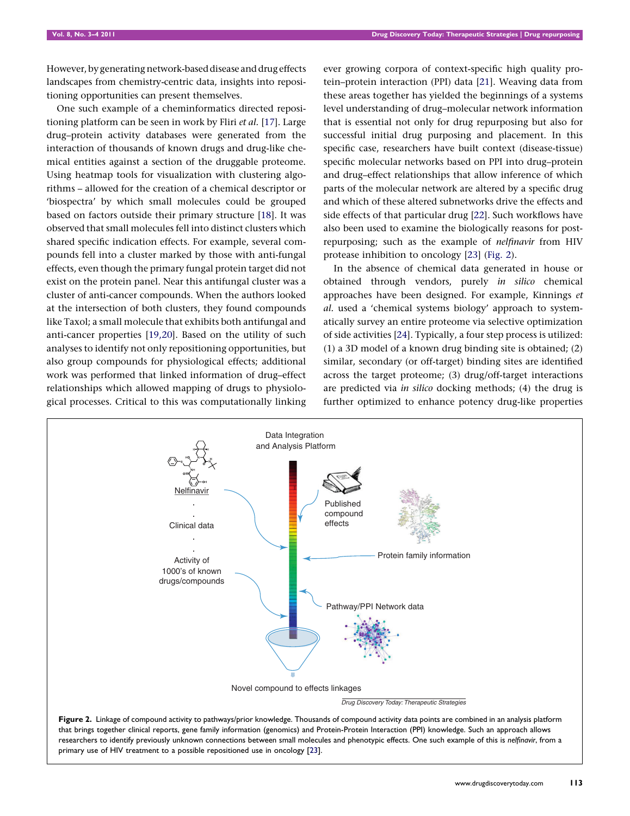However,bygenerating network-baseddiseaseand drugeffects landscapes from chemistry-centric data, insights into repositioning opportunities can present themselves.

One such example of a cheminformatics directed repositioning platform can be seen in work by Fliri et al. [[17](#page-7-0)]. Large drug–protein activity databases were generated from the interaction of thousands of known drugs and drug-like chemical entities against a section of the druggable proteome. Using heatmap tools for visualization with clustering algorithms – allowed for the creation of a chemical descriptor or 'biospectra' by which small molecules could be grouped based on factors outside their primary structure [[18\]](#page-7-0). It was observed that small molecules fell into distinct clusters which shared specific indication effects. For example, several compounds fell into a cluster marked by those with anti-fungal effects, even though the primary fungal protein target did not exist on the protein panel. Near this antifungal cluster was a cluster of anti-cancer compounds. When the authors looked at the intersection of both clusters, they found compounds like Taxol; a small molecule that exhibits both antifungal and anti-cancer properties [\[19,20\]](#page-7-0). Based on the utility of such analyses to identify not only repositioning opportunities, but also group compounds for physiological effects; additional work was performed that linked information of drug–effect relationships which allowed mapping of drugs to physiological processes. Critical to this was computationally linking ever growing corpora of context-specific high quality protein–protein interaction (PPI) data [\[21\]](#page-7-0). Weaving data from these areas together has yielded the beginnings of a systems level understanding of drug–molecular network information that is essential not only for drug repurposing but also for successful initial drug purposing and placement. In this specific case, researchers have built context (disease-tissue) specific molecular networks based on PPI into drug–protein and drug–effect relationships that allow inference of which parts of the molecular network are altered by a specific drug and which of these altered subnetworks drive the effects and side effects of that particular drug [[22](#page-7-0)]. Such workflows have also been used to examine the biologically reasons for postrepurposing; such as the example of nelfinavir from HIV protease inhibition to oncology [[23\]](#page-7-0) (Fig. 2).

In the absence of chemical data generated in house or obtained through vendors, purely in silico chemical approaches have been designed. For example, Kinnings et al. used a 'chemical systems biology' approach to systematically survey an entire proteome via selective optimization of side activities [[24](#page-7-0)]. Typically, a four step process is utilized: (1) a 3D model of a known drug binding site is obtained; (2) similar, secondary (or off-target) binding sites are identified across the target proteome; (3) drug/off-target interactions are predicted via in silico docking methods; (4) the drug is further optimized to enhance potency drug-like properties



that brings together clinical reports, gene family information (genomics) and Protein-Protein Interaction (PPI) knowledge. Such an approach allows researchers to identify previously unknown connections between small molecules and phenotypic effects. One such example of this is nelfinavir, from a primary use of HIV treatment to a possible repositioned use in oncology [\[23](#page-7-0)].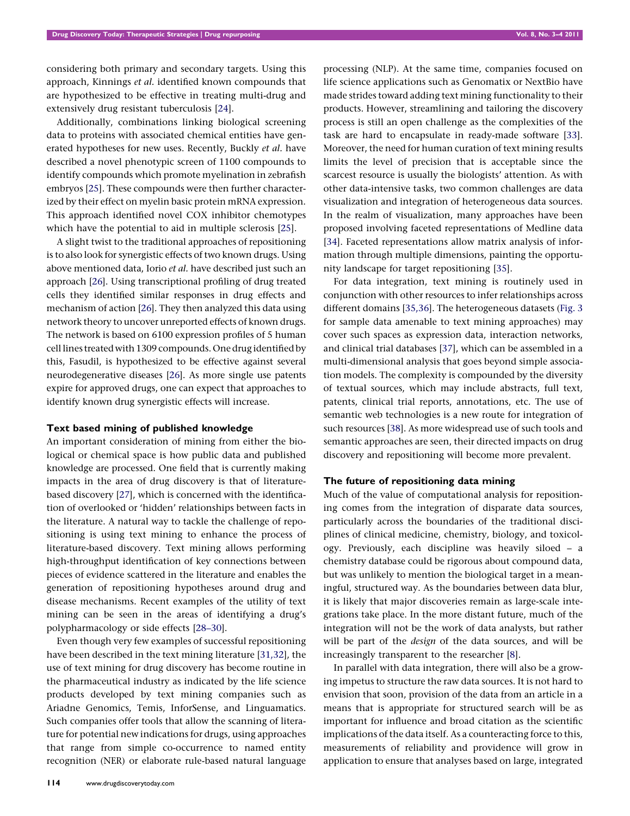considering both primary and secondary targets. Using this approach, Kinnings et al. identified known compounds that are hypothesized to be effective in treating multi-drug and extensively drug resistant tuberculosis [[24](#page-7-0)].

Additionally, combinations linking biological screening data to proteins with associated chemical entities have generated hypotheses for new uses. Recently, Buckly et al. have described a novel phenotypic screen of 1100 compounds to identify compounds which promote myelination in zebrafish embryos [[25](#page-7-0)]. These compounds were then further characterized by their effect on myelin basic protein mRNA expression. This approach identified novel COX inhibitor chemotypes which have the potential to aid in multiple sclerosis [[25](#page-7-0)].

A slight twist to the traditional approaches of repositioning is to also look for synergistic effects of two known drugs. Using above mentioned data, Iorio et al. have described just such an approach [[26\]](#page-7-0). Using transcriptional profiling of drug treated cells they identified similar responses in drug effects and mechanism of action [\[26](#page-7-0)]. They then analyzed this data using network theory to uncover unreported effects of known drugs. The network is based on 6100 expression profiles of 5 human cell linestreated with 1309 compounds. One drug identified by this, Fasudil, is hypothesized to be effective against several neurodegenerative diseases [[26\]](#page-7-0). As more single use patents expire for approved drugs, one can expect that approaches to identify known drug synergistic effects will increase.

#### Text based mining of published knowledge

An important consideration of mining from either the biological or chemical space is how public data and published knowledge are processed. One field that is currently making impacts in the area of drug discovery is that of literaturebased discovery [[27](#page-7-0)], which is concerned with the identification of overlooked or 'hidden' relationships between facts in the literature. A natural way to tackle the challenge of repositioning is using text mining to enhance the process of literature-based discovery. Text mining allows performing high-throughput identification of key connections between pieces of evidence scattered in the literature and enables the generation of repositioning hypotheses around drug and disease mechanisms. Recent examples of the utility of text mining can be seen in the areas of identifying a drug's polypharmacology or side effects [\[28–30](#page-7-0)].

Even though very few examples of successful repositioning have been described in the text mining literature [[31,32](#page-7-0)], the use of text mining for drug discovery has become routine in the pharmaceutical industry as indicated by the life science products developed by text mining companies such as Ariadne Genomics, Temis, InforSense, and Linguamatics. Such companies offer tools that allow the scanning of literature for potential new indications for drugs, using approaches that range from simple co-occurrence to named entity recognition (NER) or elaborate rule-based natural language processing (NLP). At the same time, companies focused on life science applications such as Genomatix or NextBio have made strides toward adding text mining functionality to their products. However, streamlining and tailoring the discovery process is still an open challenge as the complexities of the task are hard to encapsulate in ready-made software [\[33](#page-7-0)]. Moreover, the need for human curation of text mining results limits the level of precision that is acceptable since the scarcest resource is usually the biologists' attention. As with other data-intensive tasks, two common challenges are data visualization and integration of heterogeneous data sources. In the realm of visualization, many approaches have been proposed involving faceted representations of Medline data [[34\]](#page-7-0). Faceted representations allow matrix analysis of information through multiple dimensions, painting the opportunity landscape for target repositioning [[35](#page-7-0)].

For data integration, text mining is routinely used in conjunction with other resources to infer relationships across different domains [\[35,36](#page-7-0)]. The heterogeneous datasets ([Fig. 3](#page-6-0) for sample data amenable to text mining approaches) may cover such spaces as expression data, interaction networks, and clinical trial databases [\[37](#page-7-0)], which can be assembled in a multi-dimensional analysis that goes beyond simple association models. The complexity is compounded by the diversity of textual sources, which may include abstracts, full text, patents, clinical trial reports, annotations, etc. The use of semantic web technologies is a new route for integration of such resources [\[38\]](#page-7-0). As more widespread use of such tools and semantic approaches are seen, their directed impacts on drug discovery and repositioning will become more prevalent.

#### The future of repositioning data mining

Much of the value of computational analysis for repositioning comes from the integration of disparate data sources, particularly across the boundaries of the traditional disciplines of clinical medicine, chemistry, biology, and toxicology. Previously, each discipline was heavily siloed – a chemistry database could be rigorous about compound data, but was unlikely to mention the biological target in a meaningful, structured way. As the boundaries between data blur, it is likely that major discoveries remain as large-scale integrations take place. In the more distant future, much of the integration will not be the work of data analysts, but rather will be part of the *design* of the data sources, and will be increasingly transparent to the researcher [[8](#page-6-0)].

In parallel with data integration, there will also be a growing impetus to structure the raw data sources. It is not hard to envision that soon, provision of the data from an article in a means that is appropriate for structured search will be as important for influence and broad citation as the scientific implications of the data itself. As a counteracting force to this, measurements of reliability and providence will grow in application to ensure that analyses based on large, integrated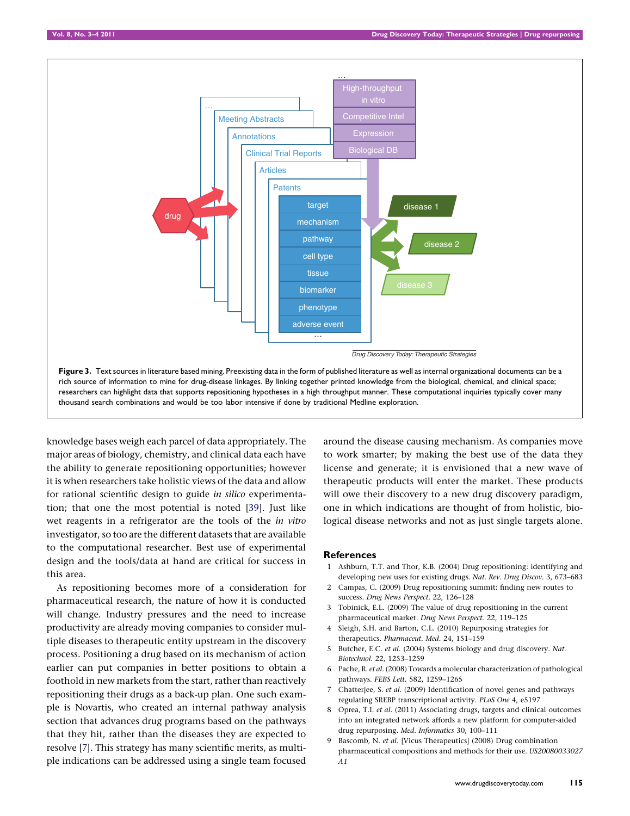<span id="page-6-0"></span>

knowledge bases weigh each parcel of data appropriately. The major areas of biology, chemistry, and clinical data each have the ability to generate repositioning opportunities; however it is when researchers take holistic views of the data and allow for rational scientific design to guide in silico experimentation; that one the most potential is noted [[39](#page-7-0)]. Just like wet reagents in a refrigerator are the tools of the in vitro investigator, so too are the different datasets that are available to the computational researcher. Best use of experimental design and the tools/data at hand are critical for success in this area.

As repositioning becomes more of a consideration for pharmaceutical research, the nature of how it is conducted will change. Industry pressures and the need to increase productivity are already moving companies to consider multiple diseases to therapeutic entity upstream in the discovery process. Positioning a drug based on its mechanism of action earlier can put companies in better positions to obtain a foothold in new markets from the start, rather than reactively repositioning their drugs as a back-up plan. One such example is Novartis, who created an internal pathway analysis section that advances drug programs based on the pathways that they hit, rather than the diseases they are expected to resolve [7]. This strategy has many scientific merits, as multiple indications can be addressed using a single team focused

around the disease causing mechanism. As companies move to work smarter; by making the best use of the data they license and generate; it is envisioned that a new wave of therapeutic products will enter the market. These products will owe their discovery to a new drug discovery paradigm, one in which indications are thought of from holistic, biological disease networks and not as just single targets alone.

#### **References**

- 1 Ashburn, T.T. and Thor, K.B. (2004) Drug repositioning: identifying and developing new uses for existing drugs. Nat. Rev. Drug Discov. 3, 673–683
- 2 Campas, C. (2009) Drug repositioning summit: finding new routes to success. Drug News Perspect. 22, 126–128
- 3 Tobinick, E.L. (2009) The value of drug repositioning in the current pharmaceutical market. Drug News Perspect. 22, 119–125
- 4 Sleigh, S.H. and Barton, C.L. (2010) Repurposing strategies for therapeutics. Pharmaceut. Med. 24, 151–159
- 5 Butcher, E.C. et al. (2004) Systems biology and drug discovery. Nat. Biotechnol. 22, 1253–1259
- 6 Pache, R. et al. (2008) Towards a molecular characterization of pathological pathways. FEBS Lett. 582, 1259–1265
- 7 Chatterjee, S. et al. (2009) Identification of novel genes and pathways regulating SREBP transcriptional activity. PLoS One 4, e5197
- 8 Oprea, T.I. et al. (2011) Associating drugs, targets and clinical outcomes into an integrated network affords a new platform for computer-aided drug repurposing. Med. Informatics 30, 100–111
- 9 Bascomb, N. et al. [Vicus Therapeutics] (2008) Drug combination pharmaceutical compositions and methods for their use. US20080033027 A1